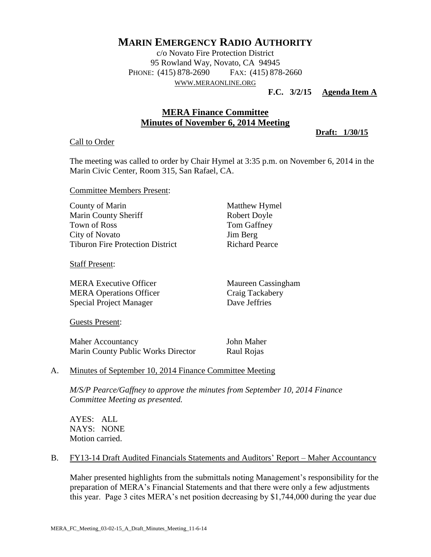# **MARIN EMERGENCY RADIO AUTHORITY**

c/o Novato Fire Protection District 95 Rowland Way, Novato, CA 94945 PHONE: (415) 878-2690 FAX: (415) 878-2660 WWW.[MERAONLINE](http://www.meraonline.org/).ORG

#### **F.C. 3/2/15 Agenda Item A**

# **MERA Finance Committee Minutes of November 6, 2014 Meeting**

**Draft: 1/30/15**

#### Call to Order

The meeting was called to order by Chair Hymel at 3:35 p.m. on November 6, 2014 in the Marin Civic Center, Room 315, San Rafael, CA.

Committee Members Present:

| County of Marin                         |
|-----------------------------------------|
| <b>Marin County Sheriff</b>             |
| <b>Town of Ross</b>                     |
| City of Novato                          |
| <b>Tiburon Fire Protection District</b> |

Staff Present:

MERA Executive Officer Maureen Cassingham MERA Operations Officer Craig Tackabery Special Project Manager Dave Jeffries

Guests Present:

Maher Accountancy John Maher Marin County Public Works Director Raul Rojas

Matthew Hymel Robert Doyle Tom Gaffney Jim Berg Richard Pearce

## A. Minutes of September 10, 2014 Finance Committee Meeting

*M/S/P Pearce/Gaffney to approve the minutes from September 10, 2014 Finance Committee Meeting as presented.*

AYES: ALL NAYS: NONE Motion carried.

## B. FY13-14 Draft Audited Financials Statements and Auditors' Report – Maher Accountancy

Maher presented highlights from the submittals noting Management's responsibility for the preparation of MERA's Financial Statements and that there were only a few adjustments this year. Page 3 cites MERA's net position decreasing by \$1,744,000 during the year due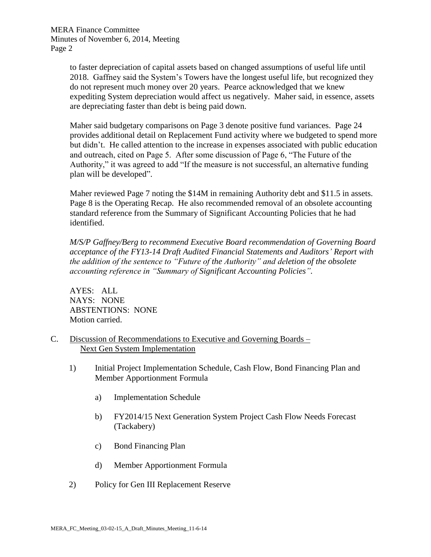MERA Finance Committee Minutes of November 6, 2014, Meeting Page 2

> to faster depreciation of capital assets based on changed assumptions of useful life until 2018. Gaffney said the System's Towers have the longest useful life, but recognized they do not represent much money over 20 years. Pearce acknowledged that we knew expediting System depreciation would affect us negatively. Maher said, in essence, assets are depreciating faster than debt is being paid down.

Maher said budgetary comparisons on Page 3 denote positive fund variances. Page 24 provides additional detail on Replacement Fund activity where we budgeted to spend more but didn't. He called attention to the increase in expenses associated with public education and outreach, cited on Page 5. After some discussion of Page 6, "The Future of the Authority," it was agreed to add "If the measure is not successful, an alternative funding plan will be developed".

Maher reviewed Page 7 noting the \$14M in remaining Authority debt and \$11.5 in assets. Page 8 is the Operating Recap. He also recommended removal of an obsolete accounting standard reference from the Summary of Significant Accounting Policies that he had identified.

*M/S/P Gaffney/Berg to recommend Executive Board recommendation of Governing Board acceptance of the FY13-14 Draft Audited Financial Statements and Auditors' Report with the addition of the sentence to "Future of the Authority" and deletion of the obsolete accounting reference in "Summary of Significant Accounting Policies".*

AYES: ALL NAYS: NONE ABSTENTIONS: NONE Motion carried.

- C. Discussion of Recommendations to Executive and Governing Boards Next Gen System Implementation
	- 1) Initial Project Implementation Schedule, Cash Flow, Bond Financing Plan and Member Apportionment Formula
		- a) Implementation Schedule
		- b) FY2014/15 Next Generation System Project Cash Flow Needs Forecast (Tackabery)
		- c) Bond Financing Plan
		- d) Member Apportionment Formula
	- 2) Policy for Gen III Replacement Reserve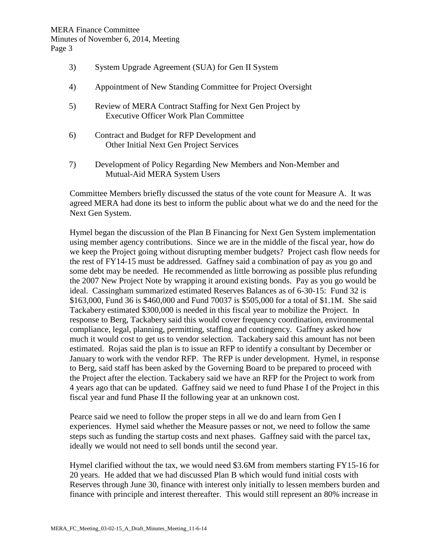- 3) System Upgrade Agreement (SUA) for Gen II System
- 4) Appointment of New Standing Committee for Project Oversight
- 5) Review of MERA Contract Staffing for Next Gen Project by Executive Officer Work Plan Committee
- 6) Contract and Budget for RFP Development and Other Initial Next Gen Project Services
- 7) Development of Policy Regarding New Members and Non-Member and Mutual-Aid MERA System Users

Committee Members briefly discussed the status of the vote count for Measure A. It was agreed MERA had done its best to inform the public about what we do and the need for the Next Gen System.

Hymel began the discussion of the Plan B Financing for Next Gen System implementation using member agency contributions. Since we are in the middle of the fiscal year, how do we keep the Project going without disrupting member budgets? Project cash flow needs for the rest of FY14-15 must be addressed. Gaffney said a combination of pay as you go and some debt may be needed. He recommended as little borrowing as possible plus refunding the 2007 New Project Note by wrapping it around existing bonds. Pay as you go would be ideal. Cassingham summarized estimated Reserves Balances as of 6-30-15: Fund 32 is \$163,000, Fund 36 is \$460,000 and Fund 70037 is \$505,000 for a total of \$1.1M. She said Tackabery estimated \$300,000 is needed in this fiscal year to mobilize the Project. In response to Berg, Tackabery said this would cover frequency coordination, environmental compliance, legal, planning, permitting, staffing and contingency. Gaffney asked how much it would cost to get us to vendor selection. Tackabery said this amount has not been estimated. Rojas said the plan is to issue an RFP to identify a consultant by December or January to work with the vendor RFP. The RFP is under development. Hymel, in response to Berg, said staff has been asked by the Governing Board to be prepared to proceed with the Project after the election. Tackabery said we have an RFP for the Project to work from 4 years ago that can be updated. Gaffney said we need to fund Phase I of the Project in this fiscal year and fund Phase II the following year at an unknown cost.

Pearce said we need to follow the proper steps in all we do and learn from Gen I experiences. Hymel said whether the Measure passes or not, we need to follow the same steps such as funding the startup costs and next phases. Gaffney said with the parcel tax, ideally we would not need to sell bonds until the second year.

Hymel clarified without the tax, we would need \$3.6M from members starting FY15-16 for 20 years. He added that we had discussed Plan B which would fund initial costs with Reserves through June 30, finance with interest only initially to lessen members burden and finance with principle and interest thereafter. This would still represent an 80% increase in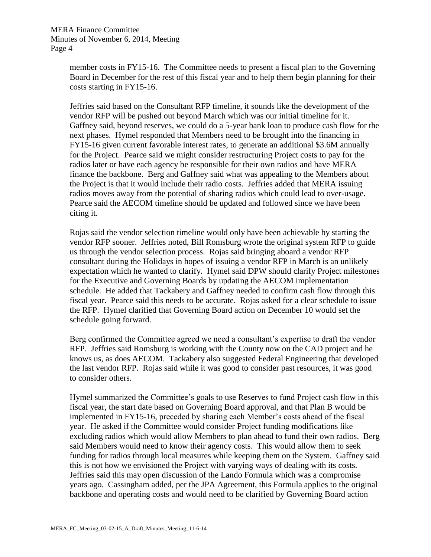MERA Finance Committee Minutes of November 6, 2014, Meeting Page 4

> member costs in FY15-16. The Committee needs to present a fiscal plan to the Governing Board in December for the rest of this fiscal year and to help them begin planning for their costs starting in FY15-16.

> Jeffries said based on the Consultant RFP timeline, it sounds like the development of the vendor RFP will be pushed out beyond March which was our initial timeline for it. Gaffney said, beyond reserves, we could do a 5-year bank loan to produce cash flow for the next phases. Hymel responded that Members need to be brought into the financing in FY15-16 given current favorable interest rates, to generate an additional \$3.6M annually for the Project. Pearce said we might consider restructuring Project costs to pay for the radios later or have each agency be responsible for their own radios and have MERA finance the backbone. Berg and Gaffney said what was appealing to the Members about the Project is that it would include their radio costs. Jeffries added that MERA issuing radios moves away from the potential of sharing radios which could lead to over-usage. Pearce said the AECOM timeline should be updated and followed since we have been citing it.

> Rojas said the vendor selection timeline would only have been achievable by starting the vendor RFP sooner. Jeffries noted, Bill Romsburg wrote the original system RFP to guide us through the vendor selection process. Rojas said bringing aboard a vendor RFP consultant during the Holidays in hopes of issuing a vendor RFP in March is an unlikely expectation which he wanted to clarify. Hymel said DPW should clarify Project milestones for the Executive and Governing Boards by updating the AECOM implementation schedule. He added that Tackabery and Gaffney needed to confirm cash flow through this fiscal year. Pearce said this needs to be accurate. Rojas asked for a clear schedule to issue the RFP. Hymel clarified that Governing Board action on December 10 would set the schedule going forward.

> Berg confirmed the Committee agreed we need a consultant's expertise to draft the vendor RFP. Jeffries said Romsburg is working with the County now on the CAD project and he knows us, as does AECOM. Tackabery also suggested Federal Engineering that developed the last vendor RFP. Rojas said while it was good to consider past resources, it was good to consider others.

> Hymel summarized the Committee's goals to use Reserves to fund Project cash flow in this fiscal year, the start date based on Governing Board approval, and that Plan B would be implemented in FY15-16, preceded by sharing each Member's costs ahead of the fiscal year. He asked if the Committee would consider Project funding modifications like excluding radios which would allow Members to plan ahead to fund their own radios. Berg said Members would need to know their agency costs. This would allow them to seek funding for radios through local measures while keeping them on the System. Gaffney said this is not how we envisioned the Project with varying ways of dealing with its costs. Jeffries said this may open discussion of the Lando Formula which was a compromise years ago. Cassingham added, per the JPA Agreement, this Formula applies to the original backbone and operating costs and would need to be clarified by Governing Board action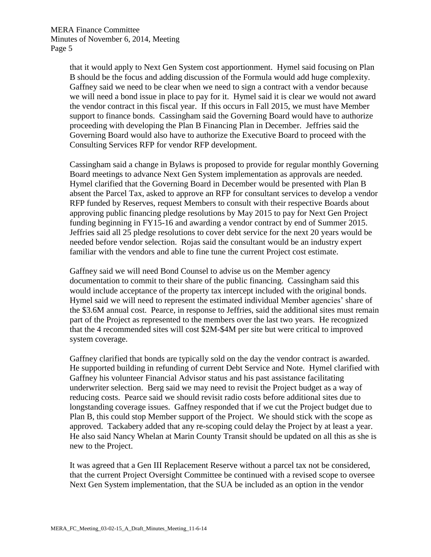that it would apply to Next Gen System cost apportionment. Hymel said focusing on Plan B should be the focus and adding discussion of the Formula would add huge complexity. Gaffney said we need to be clear when we need to sign a contract with a vendor because we will need a bond issue in place to pay for it. Hymel said it is clear we would not award the vendor contract in this fiscal year. If this occurs in Fall 2015, we must have Member support to finance bonds. Cassingham said the Governing Board would have to authorize proceeding with developing the Plan B Financing Plan in December. Jeffries said the Governing Board would also have to authorize the Executive Board to proceed with the Consulting Services RFP for vendor RFP development.

Cassingham said a change in Bylaws is proposed to provide for regular monthly Governing Board meetings to advance Next Gen System implementation as approvals are needed. Hymel clarified that the Governing Board in December would be presented with Plan B absent the Parcel Tax, asked to approve an RFP for consultant services to develop a vendor RFP funded by Reserves, request Members to consult with their respective Boards about approving public financing pledge resolutions by May 2015 to pay for Next Gen Project funding beginning in FY15-16 and awarding a vendor contract by end of Summer 2015. Jeffries said all 25 pledge resolutions to cover debt service for the next 20 years would be needed before vendor selection. Rojas said the consultant would be an industry expert familiar with the vendors and able to fine tune the current Project cost estimate.

Gaffney said we will need Bond Counsel to advise us on the Member agency documentation to commit to their share of the public financing. Cassingham said this would include acceptance of the property tax intercept included with the original bonds. Hymel said we will need to represent the estimated individual Member agencies' share of the \$3.6M annual cost. Pearce, in response to Jeffries, said the additional sites must remain part of the Project as represented to the members over the last two years. He recognized that the 4 recommended sites will cost \$2M-\$4M per site but were critical to improved system coverage.

Gaffney clarified that bonds are typically sold on the day the vendor contract is awarded. He supported building in refunding of current Debt Service and Note. Hymel clarified with Gaffney his volunteer Financial Advisor status and his past assistance facilitating underwriter selection. Berg said we may need to revisit the Project budget as a way of reducing costs. Pearce said we should revisit radio costs before additional sites due to longstanding coverage issues. Gaffney responded that if we cut the Project budget due to Plan B, this could stop Member support of the Project. We should stick with the scope as approved. Tackabery added that any re-scoping could delay the Project by at least a year. He also said Nancy Whelan at Marin County Transit should be updated on all this as she is new to the Project.

It was agreed that a Gen III Replacement Reserve without a parcel tax not be considered, that the current Project Oversight Committee be continued with a revised scope to oversee Next Gen System implementation, that the SUA be included as an option in the vendor